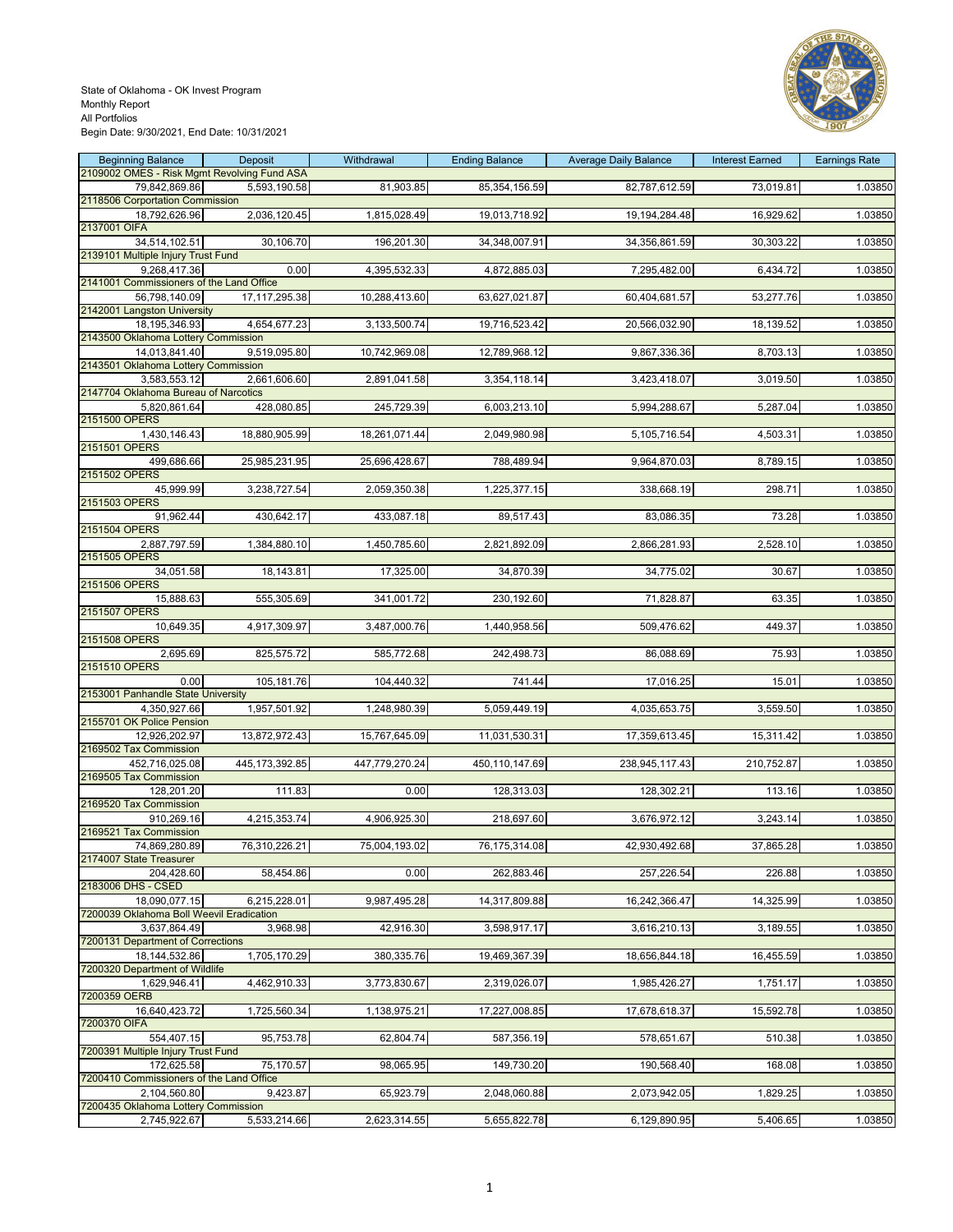

| <b>Beginning Balance</b>                               | Deposit          | Withdrawal     | <b>Ending Balance</b> | <b>Average Daily Balance</b> | <b>Interest Earned</b> | <b>Earnings Rate</b> |
|--------------------------------------------------------|------------------|----------------|-----------------------|------------------------------|------------------------|----------------------|
| 2109002 OMES - Risk Mgmt Revolving Fund ASA            |                  |                |                       |                              |                        |                      |
| 79,842,869.86                                          | 5,593,190.58     | 81,903.85      | 85,354,156.59         | 82,787,612.59                | 73,019.81              | 1.03850              |
| 2118506 Corportation Commission                        |                  |                |                       |                              |                        |                      |
| 18,792,626.96                                          | 2,036,120.45     | 1,815,028.49   | 19,013,718.92         | 19, 194, 284. 48             | 16,929.62              | 1.03850              |
| 2137001 OIFA<br>34,514,102.51                          |                  |                |                       |                              |                        |                      |
| 2139101 Multiple Injury Trust Fund                     | 30,106.70        | 196,201.30     | 34,348,007.91         | 34,356,861.59                | 30,303.22              | 1.03850              |
| 9,268,417.36                                           | 0.00             | 4,395,532.33   | 4,872,885.03          | 7,295,482.00                 | 6,434.72               | 1.03850              |
| 2141001 Commissioners of the Land Office               |                  |                |                       |                              |                        |                      |
| 56,798,140.09                                          | 17,117,295.38    | 10,288,413.60  | 63,627,021.87         | 60,404,681.57                | 53,277.76              | 1.03850              |
| 2142001 Langston University                            |                  |                |                       |                              |                        |                      |
| 18,195,346.93                                          | 4,654,677.23     | 3,133,500.74   | 19,716,523.42         | 20,566,032.90                | 18,139.52              | 1.03850              |
| 2143500 Oklahoma Lottery Commission                    |                  |                |                       |                              |                        |                      |
| 14,013,841.40                                          | 9,519,095.80     | 10,742,969.08  | 12,789,968.12         | 9,867,336.36                 | 8,703.13               | 1.03850              |
| 2143501 Oklahoma Lottery Commission                    |                  |                |                       |                              |                        |                      |
| 3,583,553.12                                           | 2,661,606.60     | 2,891,041.58   | 3,354,118.14          | 3,423,418.07                 | 3,019.50               | 1.03850              |
| 2147704 Oklahoma Bureau of Narcotics                   |                  |                |                       |                              |                        |                      |
| 5,820,861.64                                           | 428,080.85       | 245,729.39     | 6,003,213.10          | 5,994,288.67                 | 5,287.04               | 1.03850              |
| 2151500 OPERS                                          |                  |                |                       |                              |                        |                      |
| 1,430,146.43                                           | 18,880,905.99    | 18,261,071.44  | 2,049,980.98          | 5,105,716.54                 | 4,503.31               | 1.03850              |
| 2151501 OPERS                                          |                  |                |                       |                              |                        |                      |
| 499,686.66                                             | 25,985,231.95    | 25,696,428.67  | 788,489.94            | 9,964,870.03                 | 8,789.15               | 1.03850              |
| 2151502 OPERS                                          |                  |                |                       |                              |                        |                      |
| 45,999.99                                              | 3,238,727.54     | 2,059,350.38   | 1,225,377.15          | 338,668.19                   | 298.71                 | 1.03850              |
| 2151503 OPERS                                          |                  |                |                       | 83,086.35                    |                        |                      |
| 91,962.44<br>2151504 OPERS                             | 430,642.17       | 433,087.18     | 89,517.43             |                              | 73.28                  | 1.03850              |
| 2,887,797.59                                           | 1,384,880.10     | 1,450,785.60   | 2,821,892.09          | 2,866,281.93                 | 2,528.10               | 1.03850              |
| 2151505 OPERS                                          |                  |                |                       |                              |                        |                      |
| 34,051.58                                              | 18,143.81        | 17,325.00      | 34,870.39             | 34,775.02                    | 30.67                  | 1.03850              |
| 2151506 OPERS                                          |                  |                |                       |                              |                        |                      |
| 15,888.63                                              | 555,305.69       | 341,001.72     | 230,192.60            | 71,828.87                    | 63.35                  | 1.03850              |
| 2151507 OPERS                                          |                  |                |                       |                              |                        |                      |
| 10,649.35                                              | 4,917,309.97     | 3,487,000.76   | 1,440,958.56          | 509,476.62                   | 449.37                 | 1.03850              |
| 2151508 OPERS                                          |                  |                |                       |                              |                        |                      |
| 2,695.69                                               | 825,575.72       | 585,772.68     | 242,498.73            | 86,088.69                    | 75.93                  | 1.03850              |
| 2151510 OPERS                                          |                  |                |                       |                              |                        |                      |
| 0.00                                                   | 105,181.76       | 104,440.32     | 741.44                | 17,016.25                    | 15.01                  | 1.03850              |
| 2153001 Panhandle State University                     |                  |                |                       |                              |                        |                      |
| 4,350,927.66                                           | 1,957,501.92     | 1,248,980.39   | 5,059,449.19          | 4,035,653.75                 | 3,559.50               | 1.03850              |
| 2155701 OK Police Pension                              |                  |                |                       |                              |                        |                      |
| 12,926,202.97                                          | 13,872,972.43    | 15,767,645.09  | 11,031,530.31         | 17,359,613.45                | 15,311.42              | 1.03850              |
| 2169502 Tax Commission                                 |                  |                |                       |                              |                        |                      |
| 452,716,025.08                                         | 445, 173, 392.85 | 447,779,270.24 | 450,110,147.69        | 238,945,117.43               | 210,752.87             | 1.03850              |
| 2169505 Tax Commission                                 |                  |                |                       |                              |                        |                      |
| 128,201.20<br>2169520 Tax Commission                   | 111.83           | 0.00           | 128,313.03            | 128,302.21                   | 113.16                 | 1.03850              |
| 910,269.16                                             | 4,215,353.74     | 4,906,925.30   | 218,697.60            | 3,676,972.12                 | 3,243.14               | 1.03850              |
| 2169521 Tax Commission                                 |                  |                |                       |                              |                        |                      |
| 74.869.280.89                                          | 76,310,226.21    | 75.004.193.02  | 76, 175, 314.08       | 42,930,492.68                | 37,865.28              | 1.03850              |
| 2174007 State Treasurer                                |                  |                |                       |                              |                        |                      |
| 204,428.60                                             | 58,454.86        | 0.00           | 262,883.46            | 257,226.54                   | 226.88                 | 1.03850              |
| 2183006 DHS - CSED                                     |                  |                |                       |                              |                        |                      |
| 18.090.077.15                                          | 6,215,228.01     | 9,987,495.28   | 14,317,809.88         | 16,242,366.47                | 14,325.99              | 1.03850              |
| 7200039 Oklahoma Boll Weevil Eradication               |                  |                |                       |                              |                        |                      |
| 3,637,864.49                                           | 3,968.98         | 42,916.30      | 3,598,917.17          | 3,616,210.13                 | 3,189.55               | 1.03850              |
| 7200131 Department of Corrections                      |                  |                |                       |                              |                        |                      |
| 18, 144, 532.86                                        | 1,705,170.29     | 380,335.76     | 19,469,367.39         | 18,656,844.18                | 16,455.59              | 1.03850              |
| 7200320 Department of Wildlife                         |                  |                |                       |                              |                        |                      |
| 1,629,946.41                                           | 4,462,910.33     | 3,773,830.67   | 2,319,026.07          | 1,985,426.27                 | 1,751.17               | 1.03850              |
| 7200359 OERB                                           |                  |                |                       |                              |                        |                      |
| 16,640,423.72                                          | 1,725,560.34     | 1,138,975.21   | 17,227,008.85         | 17,678,618.37                | 15,592.78              | 1.03850              |
| 7200370 OIFA                                           |                  |                |                       |                              |                        |                      |
| 554,407.15                                             | 95,753.78        | 62,804.74      | 587,356.19            | 578,651.67                   | 510.38                 | 1.03850              |
| 7200391 Multiple Injury Trust Fund                     |                  |                |                       |                              |                        |                      |
| 172,625.58<br>7200410 Commissioners of the Land Office | 75,170.57        | 98,065.95      | 149,730.20            | 190,568.40                   | 168.08                 | 1.03850              |
| 2,104,560.80                                           |                  |                | 2,048,060.88          |                              | 1,829.25               |                      |
| 7200435 Oklahoma Lottery Commission                    | 9,423.87         | 65,923.79      |                       | 2,073,942.05                 |                        | 1.03850              |
| 2,745,922.67                                           | 5,533,214.66     | 2,623,314.55   | 5,655,822.78          | 6,129,890.95                 | 5,406.65               | 1.03850              |
|                                                        |                  |                |                       |                              |                        |                      |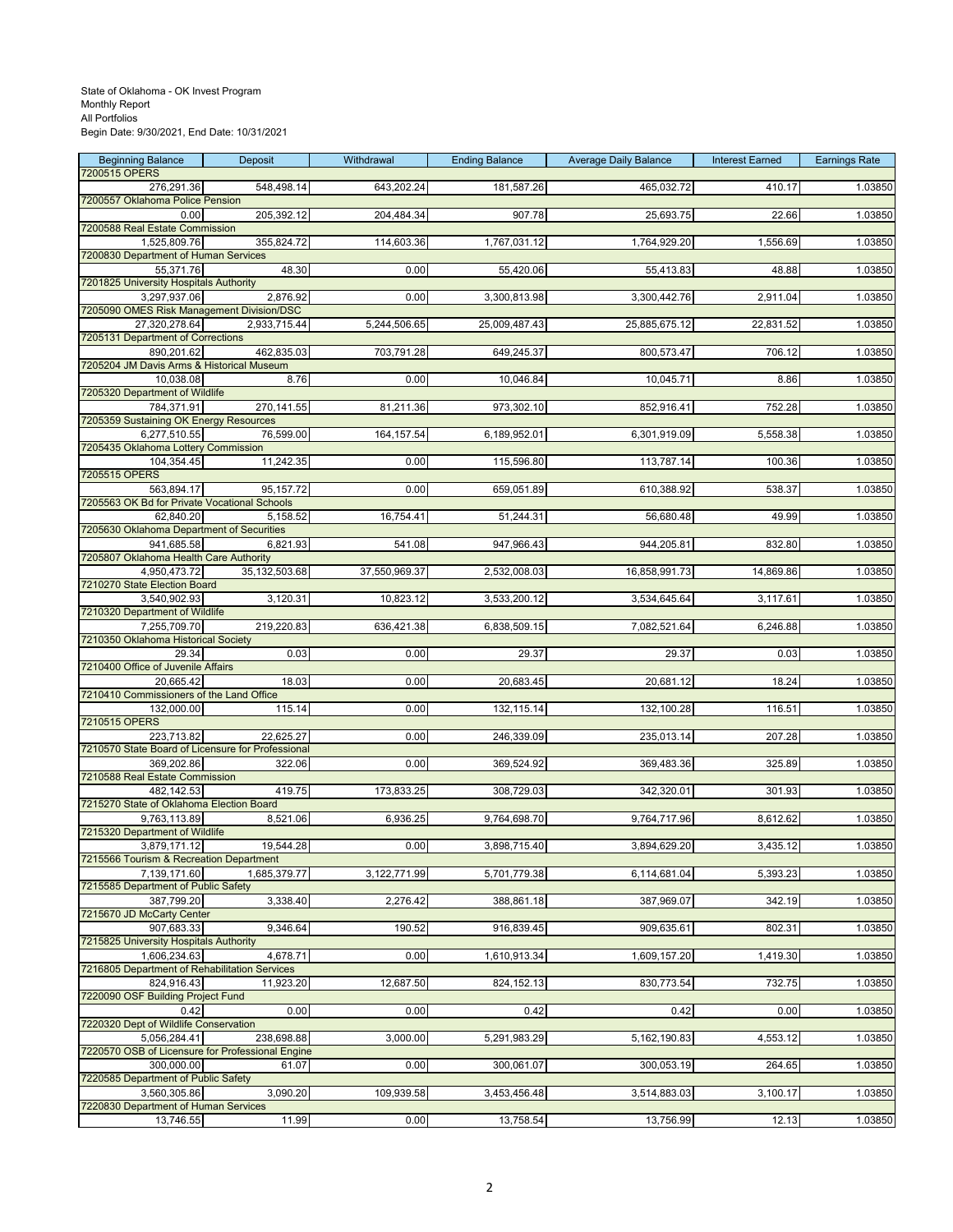| <b>Beginning Balance</b>                                        | Deposit       | Withdrawal    | <b>Ending Balance</b> | <b>Average Daily Balance</b> | <b>Interest Earned</b> | <b>Earnings Rate</b> |
|-----------------------------------------------------------------|---------------|---------------|-----------------------|------------------------------|------------------------|----------------------|
| 7200515 OPERS<br>276,291.36                                     | 548,498.14    | 643,202.24    | 181,587.26            | 465,032.72                   | 410.17                 | 1.03850              |
| 7200557 Oklahoma Police Pension                                 |               |               |                       |                              |                        |                      |
| 0.00                                                            | 205,392.12    | 204,484.34    | 907.78                | 25,693.75                    | 22.66                  | 1.03850              |
| 7200588 Real Estate Commission<br>1,525,809.76                  | 355,824.72    | 114,603.36    | 1,767,031.12          | 1,764,929.20                 | 1,556.69               | 1.03850              |
| 7200830 Department of Human Services                            |               |               |                       |                              |                        |                      |
| 55,371.76                                                       | 48.30         | 0.00          | 55,420.06             | 55,413.83                    | 48.88                  | 1.03850              |
| 7201825 University Hospitals Authority<br>3,297,937.06          | 2,876.92      | 0.00          | 3,300,813.98          | 3,300,442.76                 | 2,911.04               | 1.03850              |
| 7205090 OMES Risk Management Division/DSC                       |               |               |                       |                              |                        |                      |
| 27,320,278.64                                                   | 2,933,715.44  | 5,244,506.65  | 25,009,487.43         | 25,885,675.12                | 22,831.52              | 1.03850              |
| 7205131 Department of Corrections                               |               | 703,791.28    |                       |                              |                        |                      |
| 890,201.62<br>7205204 JM Davis Arms & Historical Museum         | 462,835.03    |               | 649,245.37            | 800,573.47                   | 706.12                 | 1.03850              |
| 10,038.08                                                       | 8.76          | 0.00          | 10,046.84             | 10,045.71                    | 8.86                   | 1.03850              |
| 7205320 Department of Wildlife                                  |               |               |                       |                              |                        |                      |
| 784,371.91<br>7205359 Sustaining OK Energy Resources            | 270,141.55    | 81,211.36     | 973,302.10            | 852,916.41                   | 752.28                 | 1.03850              |
| 6,277,510.55                                                    | 76,599.00     | 164, 157.54   | 6,189,952.01          | 6,301,919.09                 | 5,558.38               | 1.03850              |
| 7205435 Oklahoma Lottery Commission                             |               |               |                       |                              |                        |                      |
| 104,354.45<br>7205515 OPERS                                     | 11,242.35     | 0.00          | 115,596.80            | 113,787.14                   | 100.36                 | 1.03850              |
| 563,894.17                                                      | 95,157.72     | 0.00          | 659,051.89            | 610,388.92                   | 538.37                 | 1.03850              |
| 7205563 OK Bd for Private Vocational Schools                    |               |               |                       |                              |                        |                      |
| 62.840.20<br>7205630 Oklahoma Department of Securities          | 5,158.52      | 16,754.41     | 51,244.31             | 56,680.48                    | 49.99                  | 1.03850              |
| 941,685.58                                                      | 6.821.93      | 541.08        | 947,966.43            | 944,205.81                   | 832.80                 | 1.03850              |
| 7205807 Oklahoma Health Care Authority                          |               |               |                       |                              |                        |                      |
| 4,950,473.72                                                    | 35,132,503.68 | 37,550,969.37 | 2,532,008.03          | 16,858,991.73                | 14,869.86              | 1.03850              |
| 7210270 State Election Board<br>3,540,902.93                    | 3,120.31      | 10,823.12     | 3,533,200.12          | 3,534,645.64                 | 3,117.61               | 1.03850              |
| 7210320 Department of Wildlife                                  |               |               |                       |                              |                        |                      |
| 7,255,709.70                                                    | 219,220.83    | 636,421.38    | 6,838,509.15          | 7,082,521.64                 | 6,246.88               | 1.03850              |
| 7210350 Oklahoma Historical Society<br>29.34                    | 0.03          | 0.00          | 29.37                 | 29.37                        | 0.03                   | 1.03850              |
| 7210400 Office of Juvenile Affairs                              |               |               |                       |                              |                        |                      |
| 20,665.42                                                       | 18.03         | 0.00          | 20,683.45             | 20,681.12                    | 18.24                  | 1.03850              |
| 7210410 Commissioners of the Land Office<br>132,000.00          | 115.14        | 0.00          | 132,115.14            | 132,100.28                   | 116.51                 | 1.03850              |
| 7210515 OPERS                                                   |               |               |                       |                              |                        |                      |
| 223,713.82                                                      | 22,625.27     | 0.00          | 246,339.09            | 235,013.14                   | 207.28                 | 1.03850              |
| 7210570 State Board of Licensure for Professional<br>369,202.86 | 322.06        | 0.00          | 369,524.92            | 369,483.36                   | 325.89                 | 1.03850              |
| 7210588 Real Estate Commission                                  |               |               |                       |                              |                        |                      |
| 482,142.53                                                      | 419.75        | 173,833.25    | 308,729.03            | 342,320.01                   | 301.93                 | 1.03850              |
| 7215270 State of Oklahoma Election Board<br>9,763,113.89        | 8,521.06      | 6,936.25      | 9,764,698.70          | 9,764,717.96                 | 8,612.62               | 1.03850              |
| 7215320 Department of Wildlife                                  |               |               |                       |                              |                        |                      |
| 3,879,171.12                                                    | 19,544.28     | 0.00          | 3,898,715.40          | 3,894,629.20                 | 3,435.12               | 1.03850              |
| 7215566 Tourism & Recreation Department<br>7,139,171.60         | 1,685,379.77  | 3,122,771.99  | 5,701,779.38          | 6,114,681.04                 | 5,393.23               | 1.03850              |
| 7215585 Department of Public Safety                             |               |               |                       |                              |                        |                      |
| 387,799.20                                                      | 3,338.40      | 2,276.42      | 388,861.18            | 387,969.07                   | 342.19                 | 1.03850              |
| 7215670 JD McCarty Center<br>907,683.33                         | 9,346.64      | 190.52        | 916,839.45            | 909,635.61                   | 802.31                 | 1.03850              |
| 7215825 University Hospitals Authority                          |               |               |                       |                              |                        |                      |
| 1,606,234.63                                                    | 4,678.71      | 0.00          | 1,610,913.34          | 1,609,157.20                 | 1,419.30               | 1.03850              |
| 7216805 Department of Rehabilitation Services<br>824,916.43     | 11,923.20     | 12,687.50     | 824,152.13            | 830,773.54                   | 732.75                 | 1.03850              |
| 7220090 OSF Building Project Fund                               |               |               |                       |                              |                        |                      |
| 0.42                                                            | 0.00          | 0.00          | 0.42                  | 0.42                         | 0.00                   | 1.03850              |
| 7220320 Dept of Wildlife Conservation<br>5,056,284.41           | 238,698.88    | 3,000.00      | 5,291,983.29          | 5,162,190.83                 | 4,553.12               | 1.03850              |
| 7220570 OSB of Licensure for Professional Engine                |               |               |                       |                              |                        |                      |
| 300,000.00                                                      | 61.07         | 0.00          | 300,061.07            | 300,053.19                   | 264.65                 | 1.03850              |
| 7220585 Department of Public Safety                             |               |               |                       |                              |                        |                      |
| 3,560,305.86<br>7220830 Department of Human Services            | 3,090.20      | 109,939.58    | 3,453,456.48          | 3,514,883.03                 | 3,100.17               | 1.03850              |
| 13,746.55                                                       | 11.99         | 0.00          | 13,758.54             | 13,756.99                    | 12.13                  | 1.03850              |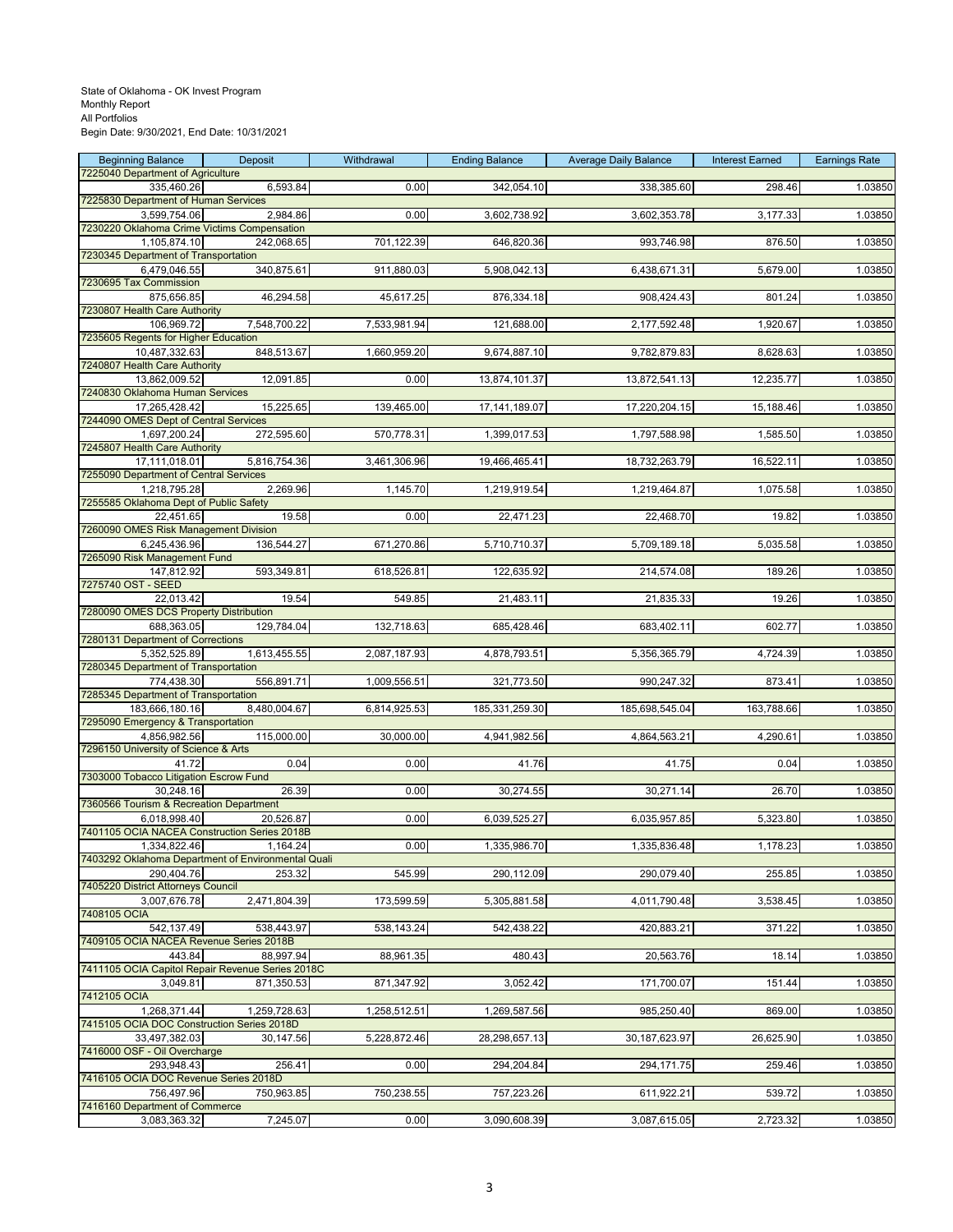| <b>Beginning Balance</b>                               | Deposit      | Withdrawal   | <b>Ending Balance</b> | <b>Average Daily Balance</b> | <b>Interest Earned</b> | <b>Earnings Rate</b> |
|--------------------------------------------------------|--------------|--------------|-----------------------|------------------------------|------------------------|----------------------|
| 7225040 Department of Agriculture                      |              |              |                       |                              |                        |                      |
| 335,460.26<br>7225830 Department of Human Services     | 6,593.84     | 0.00         | 342,054.10            | 338,385.60                   | 298.46                 | 1.03850              |
| 3,599,754.06                                           | 2,984.86     | 0.00         | 3,602,738.92          | 3,602,353.78                 | 3,177.33               | 1.03850              |
| 7230220 Oklahoma Crime Victims Compensation            |              |              |                       |                              |                        |                      |
| 1,105,874.10                                           | 242,068.65   | 701,122.39   | 646,820.36            | 993,746.98                   | 876.50                 | 1.03850              |
| 7230345 Department of Transportation                   |              |              |                       |                              |                        |                      |
| 6,479,046.55                                           | 340,875.61   | 911,880.03   | 5,908,042.13          | 6,438,671.31                 | 5,679.00               | 1.03850              |
| 7230695 Tax Commission<br>875,656.85                   | 46,294.58    | 45,617.25    | 876,334.18            | 908,424.43                   | 801.24                 | 1.03850              |
| 7230807 Health Care Authority                          |              |              |                       |                              |                        |                      |
| 106,969.72                                             | 7,548,700.22 | 7,533,981.94 | 121,688.00            | 2,177,592.48                 | 1,920.67               | 1.03850              |
| 7235605 Regents for Higher Education                   |              |              |                       |                              |                        |                      |
| 10,487,332.63                                          | 848,513.67   | 1,660,959.20 | 9,674,887.10          | 9,782,879.83                 | 8,628.63               | 1.03850              |
| 7240807 Health Care Authority                          |              |              |                       |                              |                        |                      |
| 13,862,009.52<br>7240830 Oklahoma Human Services       | 12,091.85    | 0.00         | 13,874,101.37         | 13,872,541.13                | 12,235.77              | 1.03850              |
| 17,265,428.42                                          | 15,225.65    | 139,465.00   | 17, 141, 189.07       | 17,220,204.15                | 15,188.46              | 1.03850              |
| 7244090 OMES Dept of Central Services                  |              |              |                       |                              |                        |                      |
| 1,697,200.24                                           | 272,595.60   | 570,778.31   | 1,399,017.53          | 1,797,588.98                 | 1,585.50               | 1.03850              |
| 7245807 Health Care Authority                          |              |              |                       |                              |                        |                      |
| 17,111,018.01                                          | 5,816,754.36 | 3,461,306.96 | 19,466,465.41         | 18,732,263.79                | 16,522.11              | 1.03850              |
| 7255090 Department of Central Services                 |              |              |                       |                              |                        |                      |
| 1,218,795.28<br>7255585 Oklahoma Dept of Public Safety | 2,269.96     | 1,145.70     | 1,219,919.54          | 1,219,464.87                 | 1,075.58               | 1.03850              |
| 22,451.65                                              | 19.58        | 0.00         | 22,471.23             | 22,468.70                    | 19.82                  | 1.03850              |
| 7260090 OMES Risk Management Division                  |              |              |                       |                              |                        |                      |
| 6,245,436.96                                           | 136,544.27   | 671,270.86   | 5,710,710.37          | 5,709,189.18                 | 5,035.58               | 1.03850              |
| 7265090 Risk Management Fund                           |              |              |                       |                              |                        |                      |
| 147,812.92                                             | 593,349.81   | 618,526.81   | 122,635.92            | 214,574.08                   | 189.26                 | 1.03850              |
| 7275740 OST - SEED<br>22,013.42                        | 19.54        | 549.85       | 21,483.11             | 21,835.33                    | 19.26                  | 1.03850              |
| 7280090 OMES DCS Property Distribution                 |              |              |                       |                              |                        |                      |
| 688,363.05                                             | 129,784.04   | 132,718.63   | 685,428.46            | 683,402.11                   | 602.77                 | 1.03850              |
| 7280131 Department of Corrections                      |              |              |                       |                              |                        |                      |
| 5,352,525.89                                           | 1,613,455.55 | 2,087,187.93 | 4,878,793.51          | 5,356,365.79                 | 4,724.39               | 1.03850              |
| 7280345 Department of Transportation                   |              |              |                       |                              |                        |                      |
| 774,438.30                                             | 556,891.71   | 1,009,556.51 | 321,773.50            | 990,247.32                   | 873.41                 | 1.03850              |
| 7285345 Department of Transportation<br>183,666,180.16 | 8,480,004.67 | 6,814,925.53 | 185,331,259.30        | 185,698,545.04               | 163,788.66             | 1.03850              |
| 7295090 Emergency & Transportation                     |              |              |                       |                              |                        |                      |
| 4,856,982.56                                           | 115,000.00   | 30,000.00    | 4,941,982.56          | 4,864,563.21                 | 4,290.61               | 1.03850              |
| 7296150 University of Science & Arts                   |              |              |                       |                              |                        |                      |
| 41.72                                                  | 0.04         | 0.00         | 41.76                 | 41.75                        | 0.04                   | 1.03850              |
| 7303000 Tobacco Litigation Escrow Fund                 |              |              |                       |                              |                        |                      |
| 30.248.16<br>7360566 Tourism & Recreation Department   | 26.39        | 0.00         | 30,274.55             | 30,271.14                    | 26.70                  | 1.03850              |
| 6,018,998.40                                           | 20,526.87    | 0.00         | 6,039,525.27          | 6,035,957.85                 | 5,323.80               | 1.03850              |
| 7401105 OCIA NACEA Construction Series 2018B           |              |              |                       |                              |                        |                      |
| 1,334,822.46                                           | 1,164.24     | 0.00         | 1,335,986.70          | 1,335,836.48                 | 1,178.23               | 1.03850              |
| 7403292 Oklahoma Department of Environmental Quali     |              |              |                       |                              |                        |                      |
| 290,404.76                                             | 253.32       | 545.99       | 290,112.09            | 290,079.40                   | 255.85                 | 1.03850              |
| 7405220 District Attorneys Council<br>3,007,676.78     | 2,471,804.39 | 173,599.59   | 5,305,881.58          | 4,011,790.48                 | 3,538.45               | 1.03850              |
| 7408105 OCIA                                           |              |              |                       |                              |                        |                      |
| 542,137.49                                             | 538,443.97   | 538,143.24   | 542,438.22            | 420,883.21                   | 371.22                 | 1.03850              |
| 7409105 OCIA NACEA Revenue Series 2018B                |              |              |                       |                              |                        |                      |
| 443.84                                                 | 88,997.94    | 88,961.35    | 480.43                | 20,563.76                    | 18.14                  | 1.03850              |
| 7411105 OCIA Capitol Repair Revenue Series 2018C       |              |              |                       |                              |                        |                      |
| 3,049.81<br>7412105 OCIA                               | 871,350.53   | 871,347.92   | 3,052.42              | 171,700.07                   | 151.44                 | 1.03850              |
| 1,268,371.44                                           | 1,259,728.63 | 1,258,512.51 | 1,269,587.56          | 985,250.40                   | 869.00                 | 1.03850              |
| 7415105 OCIA DOC Construction Series 2018D             |              |              |                       |                              |                        |                      |
| 33,497,382.03                                          | 30,147.56    | 5,228,872.46 | 28,298,657.13         | 30,187,623.97                | 26,625.90              | 1.03850              |
| 7416000 OSF - Oil Overcharge                           |              |              |                       |                              |                        |                      |
| 293,948.43                                             | 256.41       | 0.00         | 294,204.84            | 294,171.75                   | 259.46                 | 1.03850              |
| 7416105 OCIA DOC Revenue Series 2018D                  |              |              |                       |                              |                        |                      |
| 756,497.96<br>7416160 Department of Commerce           | 750,963.85   | 750,238.55   | 757,223.26            | 611,922.21                   | 539.72                 | 1.03850              |
| 3,083,363.32                                           | 7,245.07     | 0.00         | 3,090,608.39          | 3,087,615.05                 | 2,723.32               | 1.03850              |
|                                                        |              |              |                       |                              |                        |                      |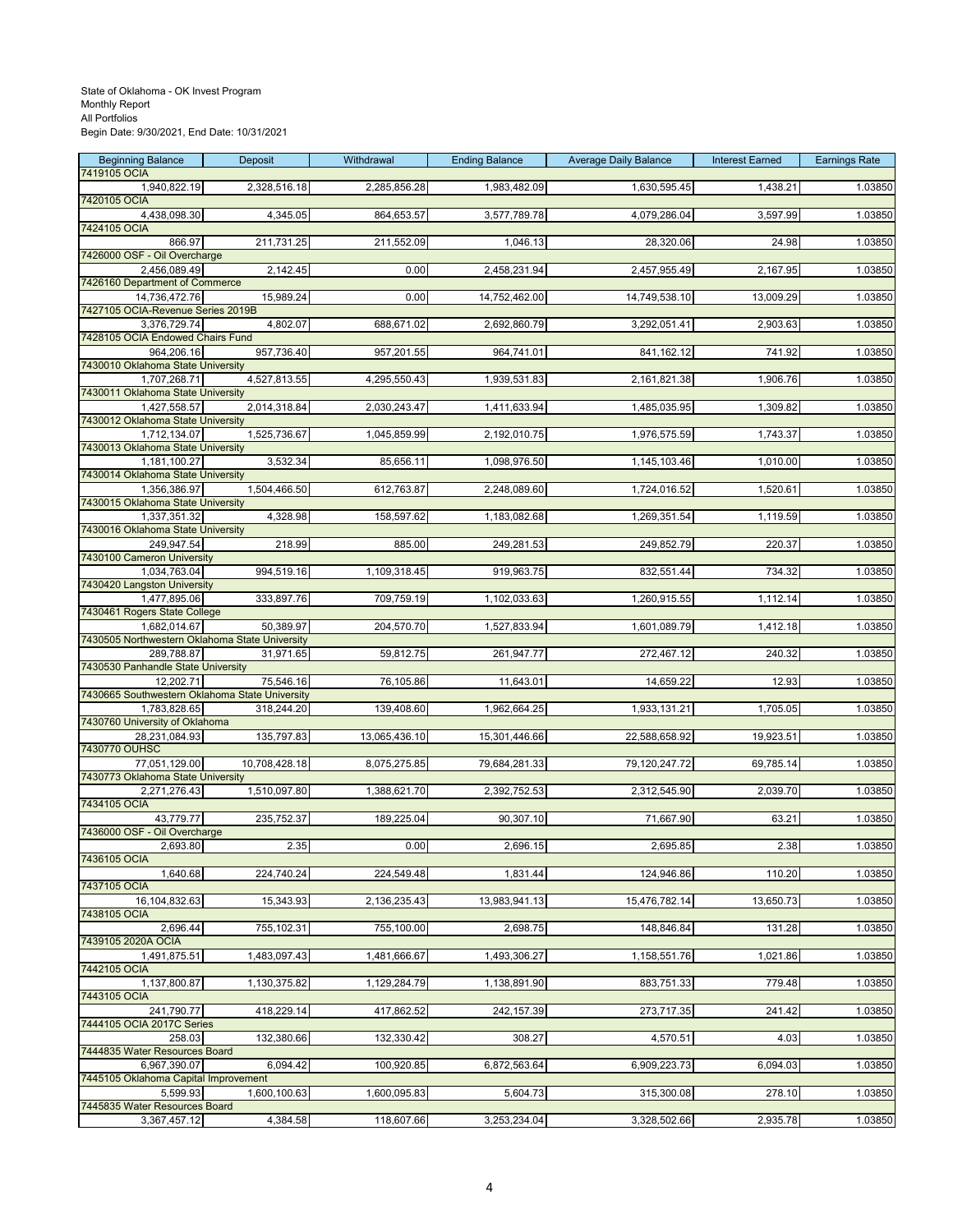| <b>Beginning Balance</b>                                       | Deposit       | Withdrawal    | <b>Ending Balance</b> | <b>Average Daily Balance</b> | <b>Interest Earned</b> | <b>Earnings Rate</b> |
|----------------------------------------------------------------|---------------|---------------|-----------------------|------------------------------|------------------------|----------------------|
| 7419105 OCIA<br>1,940,822.19                                   | 2,328,516.18  | 2,285,856.28  | 1,983,482.09          | 1,630,595.45                 | 1,438.21               | 1.03850              |
| 7420105 OCIA                                                   |               |               |                       |                              |                        |                      |
| 4,438,098.30                                                   | 4,345.05      | 864,653.57    | 3,577,789.78          | 4,079,286.04                 | 3,597.99               | 1.03850              |
| 7424105 OCIA<br>866.97                                         | 211,731.25    | 211,552.09    | 1,046.13              | 28,320.06                    | 24.98                  | 1.03850              |
| 7426000 OSF - Oil Overcharge                                   |               |               |                       |                              |                        |                      |
| 2,456,089.49                                                   | 2,142.45      | 0.00          | 2,458,231.94          | 2,457,955.49                 | 2,167.95               | 1.03850              |
| 7426160 Department of Commerce<br>14,736,472.76                | 15,989.24     | 0.00          | 14,752,462.00         | 14,749,538.10                | 13,009.29              | 1.03850              |
| 7427105 OCIA-Revenue Series 2019B                              |               |               |                       |                              |                        |                      |
| 3,376,729.74                                                   | 4,802.07      | 688,671.02    | 2,692,860.79          | 3,292,051.41                 | 2,903.63               | 1.03850              |
| 7428105 OCIA Endowed Chairs Fund                               |               |               |                       |                              |                        |                      |
| 964,206.16<br>7430010 Oklahoma State University                | 957,736.40    | 957,201.55    | 964,741.01            | 841, 162. 12                 | 741.92                 | 1.03850              |
| 1,707,268.71                                                   | 4,527,813.55  | 4,295,550.43  | 1,939,531.83          | 2,161,821.38                 | 1,906.76               | 1.03850              |
| 7430011 Oklahoma State University                              |               |               |                       |                              |                        |                      |
| 1,427,558.57<br>7430012 Oklahoma State University              | 2,014,318.84  | 2,030,243.47  | 1,411,633.94          | 1,485,035.95                 | 1,309.82               | 1.03850              |
| 1,712,134.07                                                   | 1,525,736.67  | 1,045,859.99  | 2,192,010.75          | 1,976,575.59                 | 1,743.37               | 1.03850              |
| 7430013 Oklahoma State University                              |               |               |                       |                              |                        |                      |
| 1,181,100.27<br>7430014 Oklahoma State University              | 3,532.34      | 85,656.11     | 1,098,976.50          | 1,145,103.46                 | 1,010.00               | 1.03850              |
| 1,356,386.97                                                   | 1,504,466.50  | 612,763.87    | 2,248,089.60          | 1,724,016.52                 | 1,520.61               | 1.03850              |
| 7430015 Oklahoma State University                              |               |               |                       |                              |                        |                      |
| 1,337,351.32<br>7430016 Oklahoma State University              | 4,328.98      | 158,597.62    | 1,183,082.68          | 1,269,351.54                 | 1,119.59               | 1.03850              |
| 249,947.54                                                     | 218.99        | 885.00        | 249,281.53            | 249,852.79                   | 220.37                 | 1.03850              |
| 7430100 Cameron University                                     |               |               |                       |                              |                        |                      |
| 1,034,763.04<br>7430420 Langston University                    | 994,519.16    | 1,109,318.45  | 919,963.75            | 832,551.44                   | 734.32                 | 1.03850              |
| 1,477,895.06                                                   | 333,897.76    | 709,759.19    | 1,102,033.63          | 1,260,915.55                 | 1,112.14               | 1.03850              |
| 7430461 Rogers State College                                   |               |               |                       |                              |                        |                      |
| 1,682,014.67<br>7430505 Northwestern Oklahoma State University | 50,389.97     | 204,570.70    | 1,527,833.94          | 1,601,089.79                 | 1,412.18               | 1.03850              |
| 289,788.87                                                     | 31,971.65     | 59,812.75     | 261,947.77            | 272,467.12                   | 240.32                 | 1.03850              |
| 7430530 Panhandle State University                             |               |               |                       |                              |                        |                      |
| 12,202.71<br>7430665 Southwestern Oklahoma State University    | 75,546.16     | 76,105.86     | 11,643.01             | 14,659.22                    | 12.93                  | 1.03850              |
| 1,783,828.65                                                   | 318,244.20    | 139,408.60    | 1,962,664.25          | 1,933,131.21                 | 1,705.05               | 1.03850              |
| 7430760 University of Oklahoma                                 |               |               |                       |                              |                        |                      |
| 28,231,084.93<br>7430770 OUHSC                                 | 135,797.83    | 13,065,436.10 | 15,301,446.66         | 22,588,658.92                | 19,923.51              | 1.03850              |
| 77,051,129.00                                                  | 10,708,428.18 | 8,075,275.85  | 79,684,281.33         | 79,120,247.72                | 69,785.14              | 1.03850              |
| 7430773 Oklahoma State University                              |               |               |                       |                              |                        |                      |
| 2,271,276.43<br>7434105 OCIA                                   | 1,510,097.80  | 1,388,621.70  | 2,392,752.53          | 2,312,545.90                 | 2,039.70               | 1.03850              |
| 43,779.77                                                      | 235,752.37    | 189,225.04    | 90,307.10             | 71,667.90                    | 63.21                  | 1.03850              |
| 7436000 OSF - Oil Overcharge                                   |               |               |                       |                              |                        |                      |
| 2,693.80<br>7436105 OCIA                                       | 2.35          | 0.00          | 2,696.15              | 2,695.85                     | 2.38                   | 1.03850              |
| 1,640.68                                                       | 224,740.24    | 224,549.48    | 1,831.44              | 124,946.86                   | 110.20                 | 1.03850              |
| 7437105 OCIA<br>16,104,832.63                                  | 15,343.93     | 2,136,235.43  | 13,983,941.13         | 15,476,782.14                | 13,650.73              | 1.03850              |
| 7438105 OCIA                                                   |               |               |                       |                              |                        |                      |
| 2,696.44                                                       | 755,102.31    | 755,100.00    | 2,698.75              | 148,846.84                   | 131.28                 | 1.03850              |
| 7439105 2020A OCIA                                             | 1,483,097.43  | 1,481,666.67  | 1,493,306.27          |                              | 1,021.86               | 1.03850              |
| 1,491,875.51<br>7442105 OCIA                                   |               |               |                       | 1,158,551.76                 |                        |                      |
| 1,137,800.87                                                   | 1,130,375.82  | 1,129,284.79  | 1,138,891.90          | 883,751.33                   | 779.48                 | 1.03850              |
| 7443105 OCIA<br>241,790.77                                     | 418,229.14    |               |                       |                              |                        | 1.03850              |
| 7444105 OCIA 2017C Series                                      |               | 417,862.52    | 242,157.39            | 273,717.35                   | 241.42                 |                      |
| 258.03                                                         | 132,380.66    | 132,330.42    | 308.27                | 4,570.51                     | 4.03                   | 1.03850              |
| 7444835 Water Resources Board                                  |               |               |                       |                              |                        |                      |
| 6,967,390.07<br>7445105 Oklahoma Capital Improvement           | 6,094.42      | 100,920.85    | 6,872,563.64          | 6,909,223.73                 | 6,094.03               | 1.03850              |
| 5,599.93                                                       | 1,600,100.63  | 1,600,095.83  | 5,604.73              | 315,300.08                   | 278.10                 | 1.03850              |
| 7445835 Water Resources Board                                  |               |               |                       |                              |                        |                      |
| 3,367,457.12                                                   | 4,384.58      | 118,607.66    | 3,253,234.04          | 3,328,502.66                 | 2,935.78               | 1.03850              |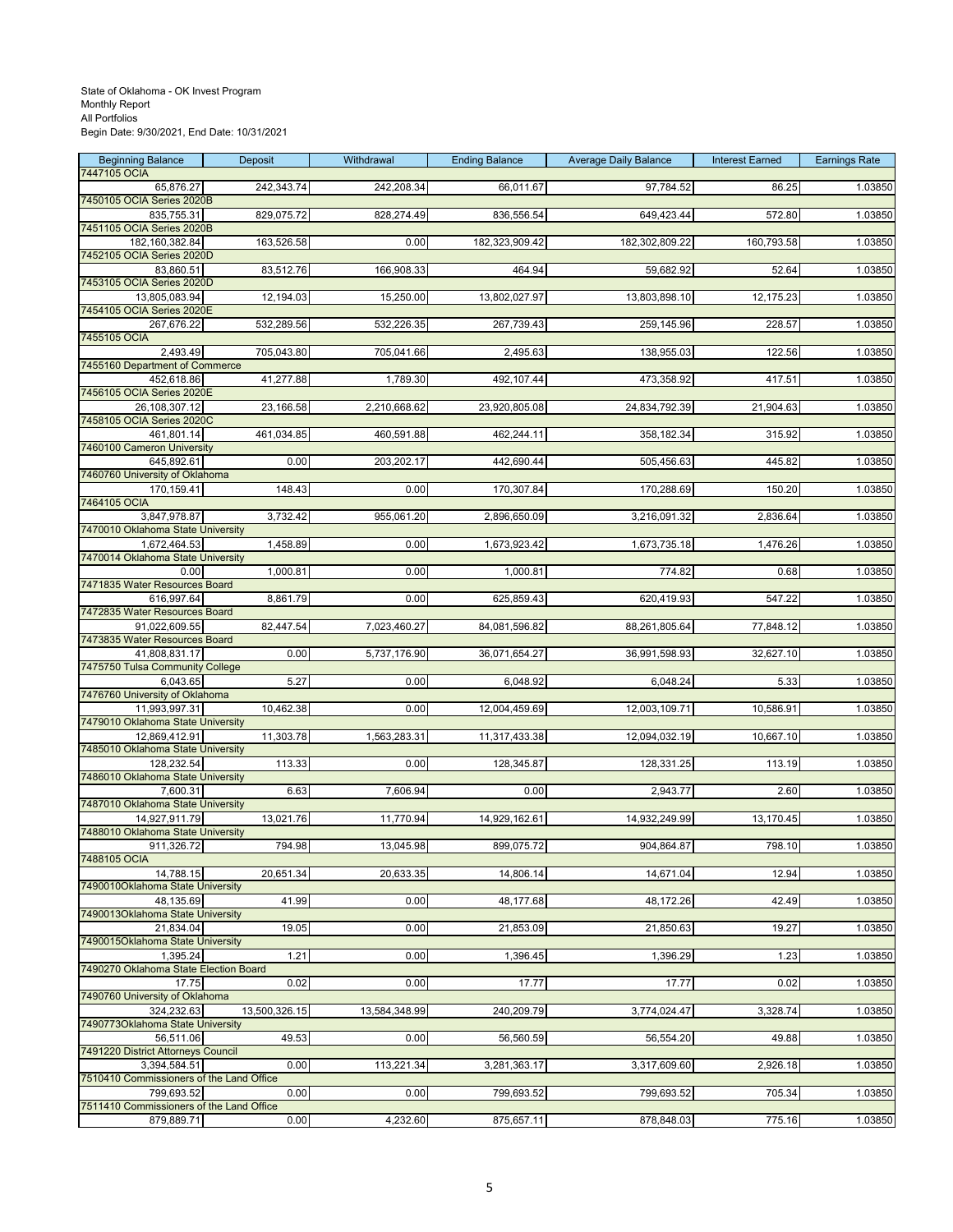| <b>Beginning Balance</b><br>7447105 OCIA               | Deposit       | Withdrawal    | <b>Ending Balance</b> | <b>Average Daily Balance</b> | <b>Interest Earned</b> | <b>Earnings Rate</b> |
|--------------------------------------------------------|---------------|---------------|-----------------------|------------------------------|------------------------|----------------------|
| 65,876.27                                              | 242,343.74    | 242,208.34    | 66,011.67             | 97,784.52                    | 86.25                  | 1.03850              |
| 7450105 OCIA Series 2020B                              |               |               |                       |                              |                        |                      |
| 835,755.31<br>7451105 OCIA Series 2020B                | 829,075.72    | 828,274.49    | 836,556.54            | 649,423.44                   | 572.80                 | 1.03850              |
| 182,160,382.84                                         | 163,526.58    | 0.00          | 182,323,909.42        | 182,302,809.22               | 160,793.58             | 1.03850              |
| 7452105 OCIA Series 2020D<br>83,860.51                 | 83,512.76     | 166,908.33    | 464.94                | 59,682.92                    | 52.64                  | 1.03850              |
| 7453105 OCIA Series 2020D                              |               |               |                       |                              |                        |                      |
| 13,805,083.94<br>7454105 OCIA Series 2020E             | 12,194.03     | 15,250.00     | 13,802,027.97         | 13,803,898.10                | 12,175.23              | 1.03850              |
| 267,676.22                                             | 532,289.56    | 532,226.35    | 267,739.43            | 259,145.96                   | 228.57                 | 1.03850              |
| 7455105 OCIA                                           |               |               |                       |                              |                        |                      |
| 2,493.49<br>7455160 Department of Commerce             | 705,043.80    | 705,041.66    | 2,495.63              | 138,955.03                   | 122.56                 | 1.03850              |
| 452,618.86                                             | 41,277.88     | 1,789.30      | 492,107.44            | 473,358.92                   | 417.51                 | 1.03850              |
| 7456105 OCIA Series 2020E<br>26,108,307.12             | 23,166.58     | 2,210,668.62  | 23,920,805.08         | 24,834,792.39                | 21,904.63              | 1.03850              |
| 7458105 OCIA Series 2020C                              |               |               |                       |                              |                        |                      |
| 461,801.14                                             | 461,034.85    | 460,591.88    | 462,244.11            | 358,182.34                   | 315.92                 | 1.03850              |
| 7460100 Cameron University<br>645,892.61               | 0.00          | 203,202.17    | 442,690.44            | 505,456.63                   | 445.82                 | 1.03850              |
| 7460760 University of Oklahoma                         |               |               |                       |                              |                        |                      |
| 170,159.41<br>7464105 OCIA                             | 148.43        | 0.00          | 170,307.84            | 170,288.69                   | 150.20                 | 1.03850              |
| 3,847,978.87                                           | 3,732.42      | 955,061.20    | 2,896,650.09          | 3,216,091.32                 | 2,836.64               | 1.03850              |
| 7470010 Oklahoma State University                      |               | 0.00          |                       |                              | 1,476.26               |                      |
| 1,672,464.53<br>7470014 Oklahoma State University      | 1,458.89      |               | 1,673,923.42          | 1,673,735.18                 |                        | 1.03850              |
| 0.00                                                   | 1,000.81      | 0.00          | 1,000.81              | 774.82                       | 0.68                   | 1.03850              |
| 7471835 Water Resources Board<br>616,997.64            | 8,861.79      | 0.00          | 625,859.43            | 620,419.93                   | 547.22                 | 1.03850              |
| 7472835 Water Resources Board                          |               |               |                       |                              |                        |                      |
| 91,022,609.55<br>7473835 Water Resources Board         | 82,447.54     | 7,023,460.27  | 84,081,596.82         | 88,261,805.64                | 77,848.12              | 1.03850              |
| 41,808,831.17                                          | 0.00          | 5,737,176.90  | 36,071,654.27         | 36,991,598.93                | 32,627.10              | 1.03850              |
| 7475750 Tulsa Community College                        |               |               |                       |                              |                        |                      |
| 6,043.65<br>7476760 University of Oklahoma             | 5.27          | 0.00          | 6,048.92              | 6,048.24                     | 5.33                   | 1.03850              |
| 11,993,997.31                                          | 10,462.38     | 0.00          | 12,004,459.69         | 12,003,109.71                | 10,586.91              | 1.03850              |
| 7479010 Oklahoma State University<br>12,869,412.91     | 11,303.78     | 1,563,283.31  | 11,317,433.38         | 12,094,032.19                | 10,667.10              | 1.03850              |
| 7485010 Oklahoma State University                      |               |               |                       |                              |                        |                      |
| 128,232.54<br>7486010 Oklahoma State University        | 113.33        | 0.00          | 128,345.87            | 128,331.25                   | 113.19                 | 1.03850              |
| 7,600.31                                               | 6.63          | 7,606.94      | 0.00                  | 2,943.77                     | 2.60                   | 1.03850              |
| 7487010 Oklahoma State University                      |               |               |                       |                              |                        |                      |
| 14,927,911.79<br>7488010 Oklahoma State University     | 13,021.76     | 11,770.94     | 14,929,162.61         | 14,932,249.99                | 13,170.45              | 1.03850              |
| 911,326.72                                             | 794.98        | 13,045.98     | 899,075.72            | 904,864.87                   | 798.10                 | 1.03850              |
| 7488105 OCIA<br>14,788.15                              | 20,651.34     | 20,633.35     | 14,806.14             | 14,671.04                    | 12.94                  | 1.03850              |
| 7490010Oklahoma State University                       |               |               |                       |                              |                        |                      |
| 48,135.69<br>7490013Oklahoma State University          | 41.99         | 0.00          | 48,177.68             | 48,172.26                    | 42.49                  | 1.03850              |
| 21,834.04                                              | 19.05         | 0.00          | 21,853.09             | 21,850.63                    | 19.27                  | 1.03850              |
| 7490015Oklahoma State University                       |               |               |                       |                              |                        |                      |
| 1,395.24<br>7490270 Oklahoma State Election Board      | 1.21          | 0.00          | 1,396.45              | 1,396.29                     | 1.23                   | 1.03850              |
| 17.75                                                  | 0.02          | 0.00          | 17.77                 | 17.77                        | 0.02                   | 1.03850              |
| 7490760 University of Oklahoma<br>324,232.63           | 13,500,326.15 | 13,584,348.99 | 240,209.79            | 3,774,024.47                 | 3,328.74               | 1.03850              |
| 7490773Oklahoma State University                       |               |               |                       |                              |                        |                      |
| 56,511.06                                              | 49.53         | 0.00          | 56,560.59             | 56,554.20                    | 49.88                  | 1.03850              |
| 7491220 District Attorneys Council<br>3,394,584.51     | 0.00          | 113,221.34    | 3,281,363.17          | 3,317,609.60                 | 2,926.18               | 1.03850              |
| 7510410 Commissioners of the Land Office               |               |               |                       |                              |                        |                      |
| 799,693.52<br>7511410 Commissioners of the Land Office | 0.00          | 0.00          | 799,693.52            | 799,693.52                   | 705.34                 | 1.03850              |
| 879,889.71                                             | 0.00          | 4,232.60      | 875,657.11            | 878,848.03                   | 775.16                 | 1.03850              |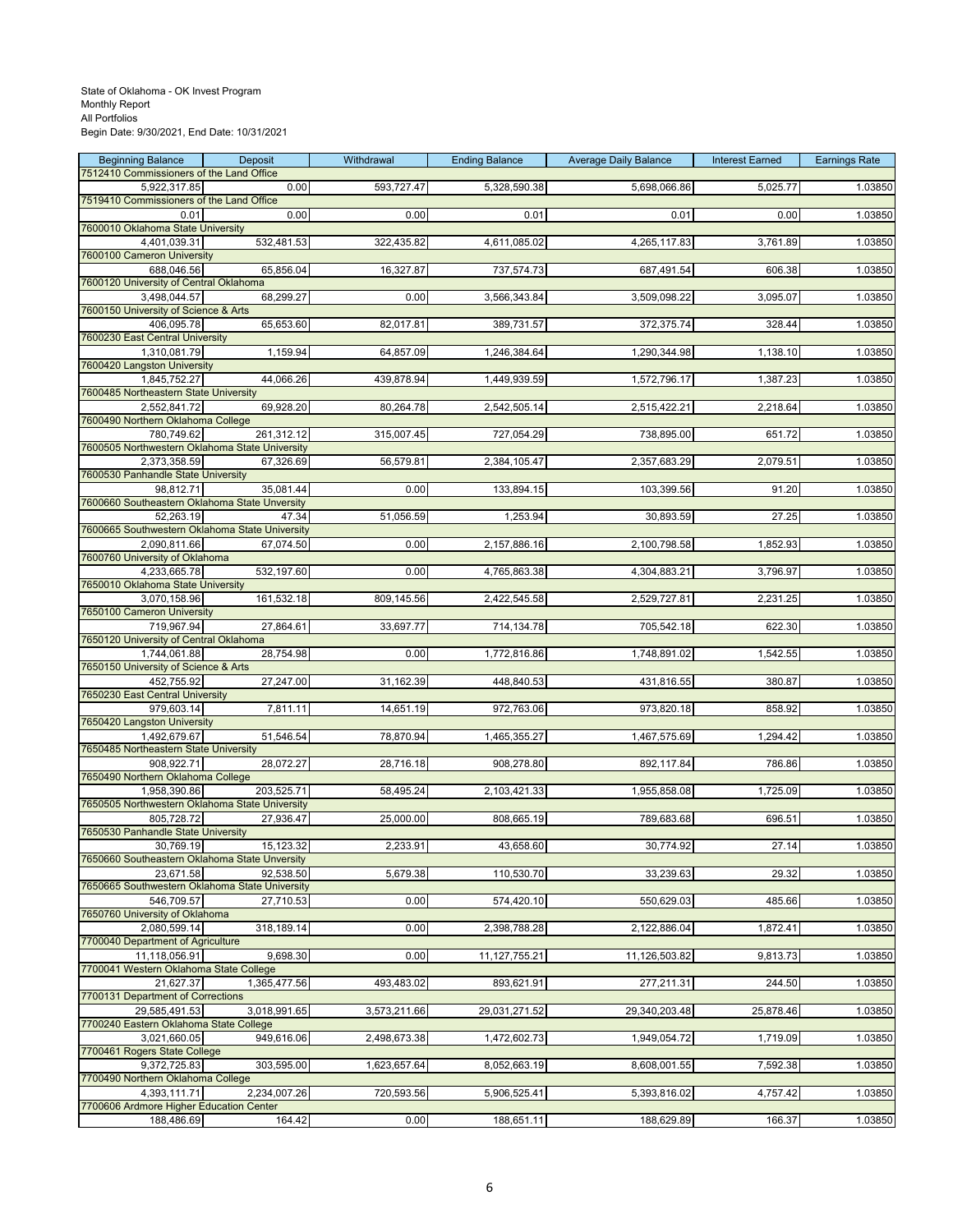| <b>Beginning Balance</b>                                     | Deposit      | Withdrawal   | <b>Ending Balance</b> | <b>Average Daily Balance</b> | <b>Interest Earned</b> | <b>Earnings Rate</b> |
|--------------------------------------------------------------|--------------|--------------|-----------------------|------------------------------|------------------------|----------------------|
| 7512410 Commissioners of the Land Office                     |              |              |                       |                              |                        |                      |
| 5,922,317.85<br>7519410 Commissioners of the Land Office     | 0.00         | 593,727.47   | 5,328,590.38          | 5,698,066.86                 | 5,025.77               | 1.03850              |
| 0.01                                                         | 0.00         | 0.00         | 0.01                  | 0.01                         | 0.00                   | 1.03850              |
| 7600010 Oklahoma State University                            |              |              |                       |                              |                        |                      |
| 4,401,039.31                                                 | 532,481.53   | 322,435.82   | 4,611,085.02          | 4,265,117.83                 | 3,761.89               | 1.03850              |
| 7600100 Cameron University                                   |              |              |                       |                              |                        |                      |
| 688,046.56<br>7600120 University of Central Oklahoma         | 65,856.04    | 16,327.87    | 737,574.73            | 687,491.54                   | 606.38                 | 1.03850              |
| 3,498,044.57                                                 | 68,299.27    | 0.00         | 3,566,343.84          | 3,509,098.22                 | 3,095.07               | 1.03850              |
| 7600150 University of Science & Arts                         |              |              |                       |                              |                        |                      |
| 406,095.78                                                   | 65,653.60    | 82,017.81    | 389,731.57            | 372,375.74                   | 328.44                 | 1.03850              |
| 7600230 East Central University                              |              |              |                       |                              |                        |                      |
| 1,310,081.79<br>7600420 Langston University                  | 1,159.94     | 64,857.09    | 1,246,384.64          | 1,290,344.98                 | 1,138.10               | 1.03850              |
| 1,845,752.27                                                 | 44,066.26    | 439,878.94   | 1,449,939.59          | 1,572,796.17                 | 1,387.23               | 1.03850              |
| 7600485 Northeastern State University                        |              |              |                       |                              |                        |                      |
| 2,552,841.72                                                 | 69,928.20    | 80,264.78    | 2,542,505.14          | 2,515,422.21                 | 2,218.64               | 1.03850              |
| 7600490 Northern Oklahoma College                            |              |              |                       |                              |                        |                      |
| 780,749.62<br>7600505 Northwestern Oklahoma State University | 261,312.12   | 315,007.45   | 727,054.29            | 738,895.00                   | 651.72                 | 1.03850              |
| 2,373,358.59                                                 | 67,326.69    | 56,579.81    | 2,384,105.47          | 2,357,683.29                 | 2,079.51               | 1.03850              |
| 7600530 Panhandle State University                           |              |              |                       |                              |                        |                      |
| 98,812.71                                                    | 35,081.44    | 0.00         | 133,894.15            | 103,399.56                   | 91.20                  | 1.03850              |
| 7600660 Southeastern Oklahoma State Unversity                |              |              |                       |                              |                        |                      |
| 52,263.19<br>7600665 Southwestern Oklahoma State University  | 47.34        | 51,056.59    | 1,253.94              | 30,893.59                    | 27.25                  | 1.03850              |
| 2,090,811.66                                                 | 67,074.50    | 0.00         | 2,157,886.16          | 2,100,798.58                 | 1,852.93               | 1.03850              |
| 7600760 University of Oklahoma                               |              |              |                       |                              |                        |                      |
| 4,233,665.78                                                 | 532,197.60   | 0.00         | 4,765,863.38          | 4,304,883.21                 | 3,796.97               | 1.03850              |
| 7650010 Oklahoma State University                            |              |              |                       |                              |                        |                      |
| 3,070,158.96                                                 | 161,532.18   | 809,145.56   | 2,422,545.58          | 2,529,727.81                 | 2,231.25               | 1.03850              |
| 7650100 Cameron University<br>719,967.94                     | 27,864.61    | 33,697.77    | 714,134.78            | 705,542.18                   | 622.30                 | 1.03850              |
| 7650120 University of Central Oklahoma                       |              |              |                       |                              |                        |                      |
| 1,744,061.88                                                 | 28,754.98    | 0.00         | 1,772,816.86          | 1,748,891.02                 | 1,542.55               | 1.03850              |
| 7650150 University of Science & Arts                         |              |              |                       |                              |                        |                      |
| 452,755.92                                                   | 27,247.00    | 31,162.39    | 448,840.53            | 431,816.55                   | 380.87                 | 1.03850              |
| 7650230 East Central University<br>979,603.14                | 7,811.11     | 14,651.19    | 972,763.06            | 973,820.18                   | 858.92                 | 1.03850              |
| 7650420 Langston University                                  |              |              |                       |                              |                        |                      |
| 1,492,679.67                                                 | 51,546.54    | 78,870.94    | 1,465,355.27          | 1,467,575.69                 | 1,294.42               | 1.03850              |
| 7650485 Northeastern State University                        |              |              |                       |                              |                        |                      |
| 908,922.71<br>7650490 Northern Oklahoma College              | 28,072.27    | 28,716.18    | 908,278.80            | 892,117.84                   | 786.86                 | 1.03850              |
| 1,958,390.86                                                 | 203,525.71   | 58,495.24    | 2,103,421.33          | 1,955,858.08                 | 1,725.09               | 1.03850              |
| 7650505 Northwestern Oklahoma State University               |              |              |                       |                              |                        |                      |
| 805,728.72                                                   | 27,936.47    | 25,000.00    | 808,665.19            | 789,683.68                   | 696.51                 | 1.03850              |
| 7650530 Panhandle State University                           |              |              |                       |                              |                        |                      |
| 30,769.19                                                    | 15,123.32    | 2,233.91     | 43,658.60             | 30,774.92                    | 27.14                  | 1.03850              |
| 7650660 Southeastern Oklahoma State Unversity<br>23,671.58   | 92,538.50    | 5,679.38     | 110,530.70            | 33,239.63                    | 29.32                  | 1.03850              |
| 7650665 Southwestern Oklahoma State University               |              |              |                       |                              |                        |                      |
| 546,709.57                                                   | 27,710.53    | 0.00         | 574,420.10            | 550,629.03                   | 485.66                 | 1.03850              |
| 7650760 University of Oklahoma                               |              |              |                       |                              |                        |                      |
| 2,080,599.14                                                 | 318,189.14   | 0.00         | 2,398,788.28          | 2,122,886.04                 | 1,872.41               | 1.03850              |
| 7700040 Department of Agriculture<br>11,118,056.91           | 9,698.30     | 0.00         | 11,127,755.21         | 11,126,503.82                | 9,813.73               | 1.03850              |
| 7700041 Western Oklahoma State College                       |              |              |                       |                              |                        |                      |
| 21.627.37                                                    | 1,365,477.56 | 493,483.02   | 893,621.91            | 277,211.31                   | 244.50                 | 1.03850              |
| 7700131 Department of Corrections                            |              |              |                       |                              |                        |                      |
| 29,585,491.53                                                | 3,018,991.65 | 3,573,211.66 | 29,031,271.52         | 29,340,203.48                | 25,878.46              | 1.03850              |
| 7700240 Eastern Oklahoma State College                       |              |              |                       | 1,949,054.72                 |                        |                      |
| 3,021,660.05<br>7700461 Rogers State College                 | 949,616.06   | 2,498,673.38 | 1,472,602.73          |                              | 1,719.09               | 1.03850              |
| 9,372,725.83                                                 | 303,595.00   | 1,623,657.64 | 8,052,663.19          | 8,608,001.55                 | 7,592.38               | 1.03850              |
| 7700490 Northern Oklahoma College                            |              |              |                       |                              |                        |                      |
| 4,393,111.71                                                 | 2,234,007.26 | 720,593.56   | 5,906,525.41          | 5,393,816.02                 | 4,757.42               | 1.03850              |
| 7700606 Ardmore Higher Education Center                      |              |              |                       |                              |                        |                      |
| 188,486.69                                                   | 164.42       | 0.00         | 188,651.11            | 188,629.89                   | 166.37                 | 1.03850              |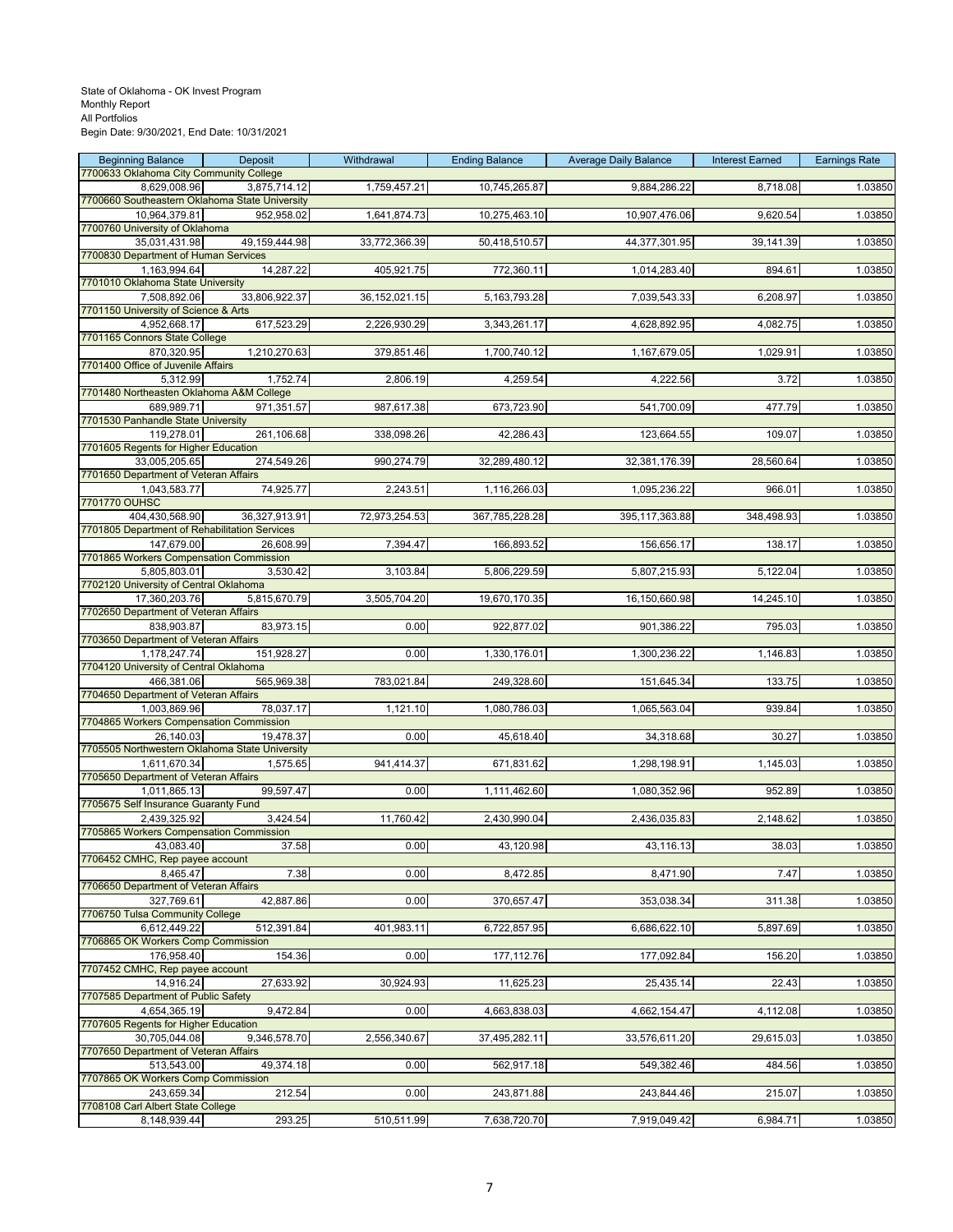| <b>Beginning Balance</b>                                | Deposit       | Withdrawal       | <b>Ending Balance</b> | <b>Average Daily Balance</b> | <b>Interest Earned</b> | <b>Earnings Rate</b> |
|---------------------------------------------------------|---------------|------------------|-----------------------|------------------------------|------------------------|----------------------|
| 7700633 Oklahoma City Community College<br>8,629,008.96 | 3,875,714.12  | 1,759,457.21     | 10,745,265.87         | 9,884,286.22                 | 8,718.08               | 1.03850              |
| 7700660 Southeastern Oklahoma State University          |               |                  |                       |                              |                        |                      |
| 10,964,379.81                                           | 952,958.02    | 1,641,874.73     | 10,275,463.10         | 10,907,476.06                | 9,620.54               | 1.03850              |
| 7700760 University of Oklahoma                          |               |                  |                       |                              |                        |                      |
| 35,031,431.98<br>7700830 Department of Human Services   | 49,159,444.98 | 33,772,366.39    | 50,418,510.57         | 44,377,301.95                | 39,141.39              | 1.03850              |
| 1,163,994.64                                            | 14,287.22     | 405,921.75       | 772,360.11            | 1,014,283.40                 | 894.61                 | 1.03850              |
| 7701010 Oklahoma State University                       |               |                  |                       |                              |                        |                      |
| 7,508,892.06<br>7701150 University of Science & Arts    | 33,806,922.37 | 36, 152, 021. 15 | 5,163,793.28          | 7,039,543.33                 | 6,208.97               | 1.03850              |
| 4.952.668.17                                            | 617,523.29    | 2,226,930.29     | 3,343,261.17          | 4,628,892.95                 | 4,082.75               | 1.03850              |
| 7701165 Connors State College                           |               |                  |                       |                              |                        |                      |
| 870,320.95<br>7701400 Office of Juvenile Affairs        | 1,210,270.63  | 379,851.46       | 1,700,740.12          | 1,167,679.05                 | 1,029.91               | 1.03850              |
| 5,312.99                                                | 1,752.74      | 2,806.19         | 4,259.54              | 4,222.56                     | 3.72                   | 1.03850              |
| 7701480 Northeasten Oklahoma A&M College                |               |                  |                       |                              |                        |                      |
| 689,989.71                                              | 971,351.57    | 987,617.38       | 673,723.90            | 541,700.09                   | 477.79                 | 1.03850              |
| 7701530 Panhandle State University<br>119,278.01        | 261,106.68    | 338,098.26       | 42,286.43             | 123,664.55                   | 109.07                 | 1.03850              |
| 7701605 Regents for Higher Education                    |               |                  |                       |                              |                        |                      |
| 33,005,205.65                                           | 274,549.26    | 990,274.79       | 32,289,480.12         | 32, 381, 176.39              | 28,560.64              | 1.03850              |
| 7701650 Department of Veteran Affairs                   | 74,925.77     | 2,243.51         | 1,116,266.03          | 1,095,236.22                 | 966.01                 | 1.03850              |
| 1,043,583.77<br>7701770 OUHSC                           |               |                  |                       |                              |                        |                      |
| 404,430,568.90                                          | 36,327,913.91 | 72,973,254.53    | 367,785,228.28        | 395,117,363.88               | 348,498.93             | 1.03850              |
| 7701805 Department of Rehabilitation Services           |               |                  |                       |                              |                        |                      |
| 147,679.00<br>7701865 Workers Compensation Commission   | 26,608.99     | 7,394.47         | 166,893.52            | 156,656.17                   | 138.17                 | 1.03850              |
| 5,805,803.01                                            | 3,530.42      | 3,103.84         | 5,806,229.59          | 5,807,215.93                 | 5,122.04               | 1.03850              |
| 7702120 University of Central Oklahoma                  |               |                  |                       |                              |                        |                      |
| 17,360,203.76<br>7702650 Department of Veteran Affairs  | 5,815,670.79  | 3,505,704.20     | 19,670,170.35         | 16,150,660.98                | 14,245.10              | 1.03850              |
| 838,903.87                                              | 83,973.15     | 0.00             | 922,877.02            | 901,386.22                   | 795.03                 | 1.03850              |
| 7703650 Department of Veteran Affairs                   |               |                  |                       |                              |                        |                      |
| 1,178,247.74                                            | 151,928.27    | 0.00             | 1,330,176.01          | 1,300,236.22                 | 1,146.83               | 1.03850              |
| 7704120 University of Central Oklahoma<br>466,381.06    | 565,969.38    | 783,021.84       | 249,328.60            | 151,645.34                   | 133.75                 | 1.03850              |
| 7704650 Department of Veteran Affairs                   |               |                  |                       |                              |                        |                      |
| 1,003,869.96                                            | 78,037.17     | 1,121.10         | 1,080,786.03          | 1,065,563.04                 | 939.84                 | 1.03850              |
| 7704865 Workers Compensation Commission<br>26,140.03    | 19,478.37     | 0.00             | 45,618.40             | 34,318.68                    | 30.27                  | 1.03850              |
| 7705505 Northwestern Oklahoma State University          |               |                  |                       |                              |                        |                      |
| 1,611,670.34                                            | 1,575.65      | 941,414.37       | 671,831.62            | 1,298,198.91                 | 1,145.03               | 1.03850              |
| 7705650 Department of Veteran Affairs                   | 99,597.47     |                  |                       | 1,080,352.96                 |                        |                      |
| 1,011,865.13<br>7705675 Self Insurance Guaranty Fund    |               | 0.00             | 1,111,462.60          |                              | 952.89                 | 1.03850              |
| 2,439,325.92                                            | 3,424.54      | 11,760.42        | 2,430,990.04          | 2,436,035.83                 | 2,148.62               | 1.03850              |
| 7705865 Workers Compensation Commission                 |               |                  |                       |                              |                        |                      |
| 43,083.40<br>7706452 CMHC, Rep payee account            | 37.58         | 0.00             | 43,120.98             | 43,116.13                    | 38.03                  | 1.03850              |
| 8.465.47                                                | 7.38          | 0.00             | 8,472.85              | 8,471.90                     | 7.47                   | 1.03850              |
| 7706650 Department of Veteran Affairs                   |               |                  |                       |                              |                        |                      |
| 327,769.61<br>7706750 Tulsa Community College           | 42,887.86     | 0.00             | 370,657.47            | 353,038.34                   | 311.38                 | 1.03850              |
| 6,612,449.22                                            | 512,391.84    | 401,983.11       | 6,722,857.95          | 6,686,622.10                 | 5,897.69               | 1.03850              |
| 7706865 OK Workers Comp Commission                      |               |                  |                       |                              |                        |                      |
| 176,958.40                                              | 154.36        | 0.00             | 177,112.76            | 177,092.84                   | 156.20                 | 1.03850              |
| 7707452 CMHC, Rep payee account<br>14,916.24            | 27,633.92     | 30,924.93        | 11,625.23             | 25,435.14                    | 22.43                  | 1.03850              |
| 7707585 Department of Public Safety                     |               |                  |                       |                              |                        |                      |
| 4,654,365.19                                            | 9,472.84      | 0.00             | 4,663,838.03          | 4,662,154.47                 | 4,112.08               | 1.03850              |
| 7707605 Regents for Higher Education<br>30,705,044.08   | 9,346,578.70  | 2,556,340.67     | 37,495,282.11         | 33,576,611.20                | 29,615.03              | 1.03850              |
| 7707650 Department of Veteran Affairs                   |               |                  |                       |                              |                        |                      |
| 513,543.00                                              | 49,374.18     | 0.00             | 562,917.18            | 549,382.46                   | 484.56                 | 1.03850              |
| 7707865 OK Workers Comp Commission                      |               |                  |                       |                              |                        |                      |
| 243,659.34<br>7708108 Carl Albert State College         | 212.54        | 0.00             | 243,871.88            | 243,844.46                   | 215.07                 | 1.03850              |
| 8,148,939.44                                            | 293.25        | 510,511.99       | 7,638,720.70          | 7,919,049.42                 | 6,984.71               | 1.03850              |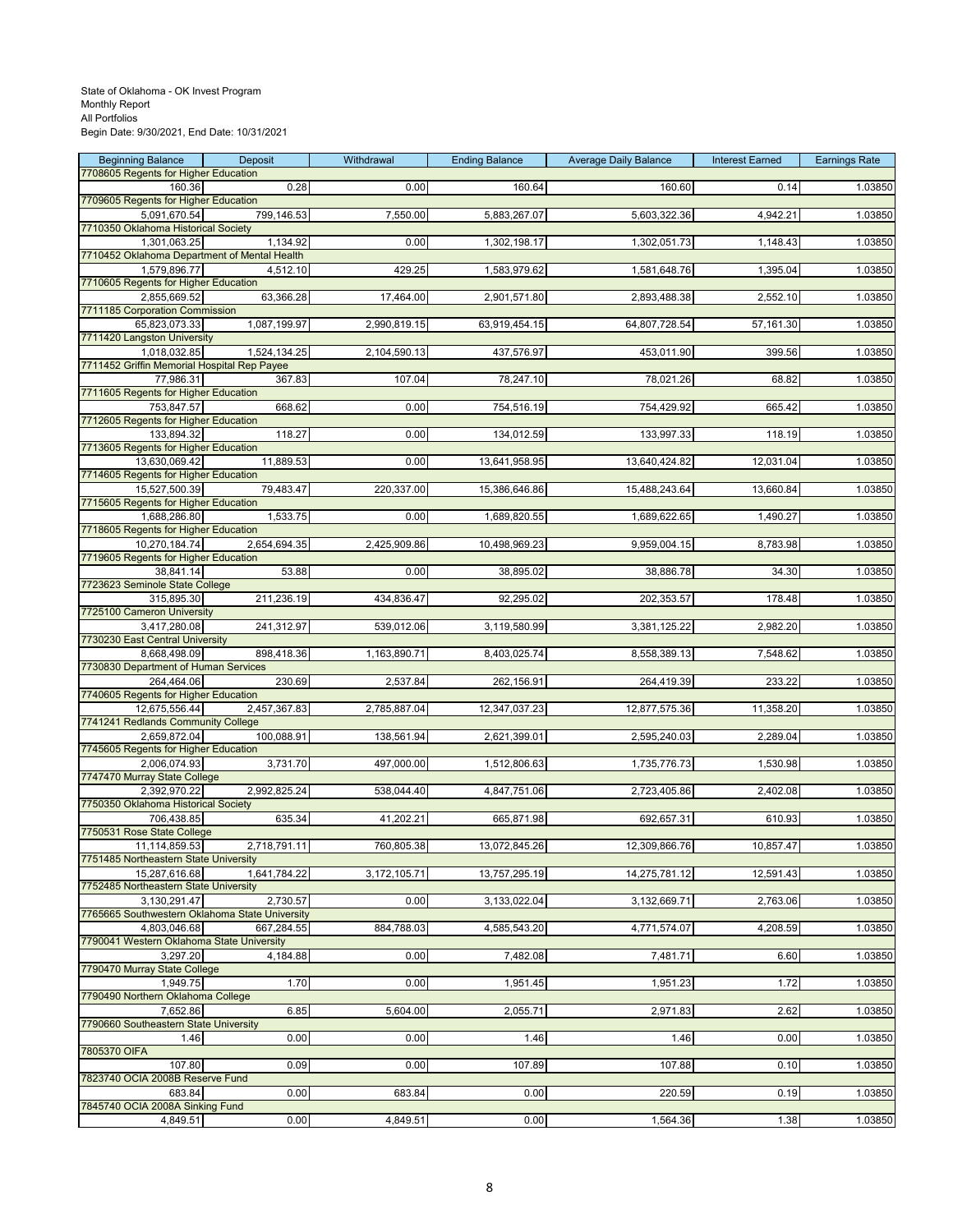| <b>Beginning Balance</b>                                       | Deposit      | Withdrawal   | <b>Ending Balance</b> | <b>Average Daily Balance</b> | <b>Interest Earned</b> | <b>Earnings Rate</b> |
|----------------------------------------------------------------|--------------|--------------|-----------------------|------------------------------|------------------------|----------------------|
| 7708605 Regents for Higher Education<br>160.36                 | 0.28         | 0.00         | 160.64                | 160.60                       | 0.14                   | 1.03850              |
| 7709605 Regents for Higher Education                           |              |              |                       |                              |                        |                      |
| 5,091,670.54                                                   | 799,146.53   | 7,550.00     | 5,883,267.07          | 5,603,322.36                 | 4,942.21               | 1.03850              |
| 7710350 Oklahoma Historical Society<br>1,301,063.25            | 1,134.92     | 0.00         | 1,302,198.17          | 1,302,051.73                 | 1,148.43               | 1.03850              |
| 7710452 Oklahoma Department of Mental Health                   |              |              |                       |                              |                        |                      |
| 1,579,896.77                                                   | 4,512.10     | 429.25       | 1,583,979.62          | 1,581,648.76                 | 1,395.04               | 1.03850              |
| 7710605 Regents for Higher Education                           |              |              |                       |                              |                        |                      |
| 2,855,669.52<br>7711185 Corporation Commission                 | 63,366.28    | 17,464.00    | 2,901,571.80          | 2,893,488.38                 | 2,552.10               | 1.03850              |
| 65.823.073.33                                                  | 1,087,199.97 | 2,990,819.15 | 63,919,454.15         | 64,807,728.54                | 57,161.30              | 1.03850              |
| 7711420 Langston University                                    |              |              |                       |                              |                        |                      |
| 1,018,032.85<br>7711452 Griffin Memorial Hospital Rep Payee    | 1,524,134.25 | 2,104,590.13 | 437,576.97            | 453,011.90                   | 399.56                 | 1.03850              |
| 77,986.31                                                      | 367.83       | 107.04       | 78,247.10             | 78,021.26                    | 68.82                  | 1.03850              |
| 7711605 Regents for Higher Education                           |              |              |                       |                              |                        |                      |
| 753,847.57                                                     | 668.62       | 0.00         | 754,516.19            | 754,429.92                   | 665.42                 | 1.03850              |
| 7712605 Regents for Higher Education<br>133,894.32             | 118.27       | 0.00         | 134,012.59            | 133,997.33                   | 118.19                 | 1.03850              |
| 7713605 Regents for Higher Education                           |              |              |                       |                              |                        |                      |
| 13,630,069.42                                                  | 11,889.53    | 0.00         | 13,641,958.95         | 13,640,424.82                | 12,031.04              | 1.03850              |
| 7714605 Regents for Higher Education<br>15,527,500.39          | 79,483.47    | 220,337.00   | 15,386,646.86         | 15,488,243.64                | 13,660.84              | 1.03850              |
| 7715605 Regents for Higher Education                           |              |              |                       |                              |                        |                      |
| 1,688,286.80                                                   | 1,533.75     | 0.00         | 1,689,820.55          | 1,689,622.65                 | 1,490.27               | 1.03850              |
| 7718605 Regents for Higher Education                           |              |              |                       |                              |                        |                      |
| 10,270,184.74<br>7719605 Regents for Higher Education          | 2,654,694.35 | 2,425,909.86 | 10,498,969.23         | 9,959,004.15                 | 8,783.98               | 1.03850              |
| 38,841.14                                                      | 53.88        | 0.00         | 38,895.02             | 38,886.78                    | 34.30                  | 1.03850              |
| 7723623 Seminole State College                                 |              |              |                       |                              |                        |                      |
| 315,895.30<br>7725100 Cameron University                       | 211,236.19   | 434,836.47   | 92,295.02             | 202,353.57                   | 178.48                 | 1.03850              |
| 3,417,280.08                                                   | 241,312.97   | 539,012.06   | 3,119,580.99          | 3,381,125.22                 | 2,982.20               | 1.03850              |
| 7730230 East Central University                                |              |              |                       |                              |                        |                      |
| 8,668,498.09                                                   | 898,418.36   | 1,163,890.71 | 8,403,025.74          | 8,558,389.13                 | 7,548.62               | 1.03850              |
| 7730830 Department of Human Services<br>264,464.06             | 230.69       | 2,537.84     | 262,156.91            | 264,419.39                   | 233.22                 | 1.03850              |
| 7740605 Regents for Higher Education                           |              |              |                       |                              |                        |                      |
| 12,675,556.44                                                  | 2,457,367.83 | 2,785,887.04 | 12,347,037.23         | 12,877,575.36                | 11,358.20              | 1.03850              |
| 7741241 Redlands Community College<br>2,659,872.04             | 100,088.91   | 138,561.94   | 2,621,399.01          | 2,595,240.03                 | 2,289.04               | 1.03850              |
| 7745605 Regents for Higher Education                           |              |              |                       |                              |                        |                      |
| 2,006,074.93                                                   | 3,731.70     | 497,000.00   | 1,512,806.63          | 1,735,776.73                 | 1,530.98               | 1.03850              |
| 7747470 Murray State College<br>2,392,970.22                   | 2,992,825.24 | 538,044.40   | 4,847,751.06          | 2,723,405.86                 | 2,402.08               | 1.03850              |
| 7750350 Oklahoma Historical Society                            |              |              |                       |                              |                        |                      |
| 706,438.85                                                     | 635.34       | 41,202.21    | 665,871.98            | 692,657.31                   | 610.93                 | 1.03850              |
| 7750531 Rose State College<br>11.114.859.53                    |              |              |                       |                              |                        |                      |
| 7751485 Northeastern State University                          | 2,718,791.11 | 760,805.38   | 13,072,845.26         | 12,309,866.76                | 10,857.47              | 1.03850              |
| 15,287,616.68                                                  | 1,641,784.22 | 3,172,105.71 | 13,757,295.19         | 14,275,781.12                | 12,591.43              | 1.03850              |
| 7752485 Northeastern State University                          |              |              |                       |                              |                        |                      |
| 3,130,291.47<br>7765665 Southwestern Oklahoma State University | 2,730.57     | 0.00         | 3, 133, 022.04        | 3,132,669.71                 | 2,763.06               | 1.03850              |
| 4,803,046.68                                                   | 667,284.55   | 884,788.03   | 4,585,543.20          | 4,771,574.07                 | 4,208.59               | 1.03850              |
| 7790041 Western Oklahoma State University                      |              |              |                       |                              |                        |                      |
| 3,297.20<br>7790470 Murray State College                       | 4,184.88     | 0.00         | 7,482.08              | 7,481.71                     | 6.60                   | 1.03850              |
| 1,949.75                                                       | 1.70         | 0.00         | 1,951.45              | 1,951.23                     | 1.72                   | 1.03850              |
| 7790490 Northern Oklahoma College                              |              |              |                       |                              |                        |                      |
| 7,652.86                                                       | 6.85         | 5,604.00     | 2,055.71              | 2,971.83                     | 2.62                   | 1.03850              |
| 7790660 Southeastern State University<br>1.46                  | 0.00         | 0.00         | 1.46                  | 1.46                         | 0.00                   | 1.03850              |
| 7805370 OIFA                                                   |              |              |                       |                              |                        |                      |
| 107.80                                                         | 0.09         | 0.00         | 107.89                | 107.88                       | 0.10                   | 1.03850              |
| 7823740 OCIA 2008B Reserve Fund<br>683.84                      | 0.00         | 683.84       | 0.00                  | 220.59                       | 0.19                   | 1.03850              |
| 7845740 OCIA 2008A Sinking Fund                                |              |              |                       |                              |                        |                      |
| 4,849.51                                                       | 0.00         | 4,849.51     | 0.00                  | 1,564.36                     | 1.38                   | 1.03850              |